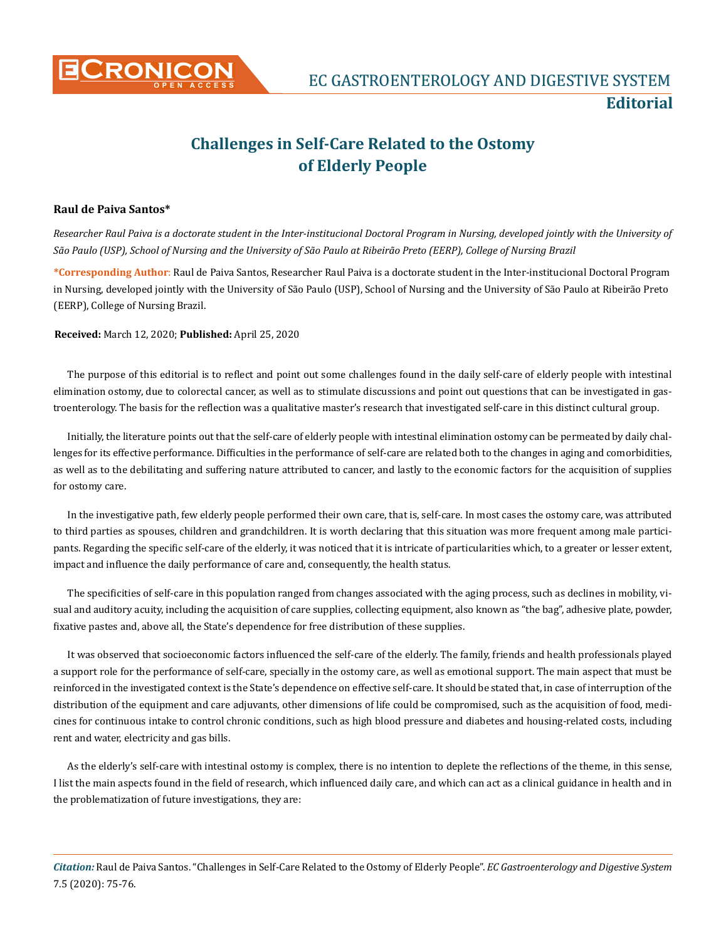

## **Challenges in Self-Care Related to the Ostomy of Elderly People**

## **Raul de Paiva Santos\***

*Researcher Raul Paiva is a doctorate student in the Inter-institucional Doctoral Program in Nursing, developed jointly with the University of São Paulo (USP), School of Nursing and the University of São Paulo at Ribeirão Preto (EERP), College of Nursing Brazil*

**\*Corresponding Author**: Raul de Paiva Santos, Researcher Raul Paiva is a doctorate student in the Inter-institucional Doctoral Program in Nursing, developed jointly with the University of São Paulo (USP), School of Nursing and the University of São Paulo at Ribeirão Preto (EERP), College of Nursing Brazil.

**Received:** March 12, 2020; **Published:** April 25, 2020

The purpose of this editorial is to reflect and point out some challenges found in the daily self-care of elderly people with intestinal elimination ostomy, due to colorectal cancer, as well as to stimulate discussions and point out questions that can be investigated in gastroenterology. The basis for the reflection was a qualitative master's research that investigated self-care in this distinct cultural group.

Initially, the literature points out that the self-care of elderly people with intestinal elimination ostomy can be permeated by daily challenges for its effective performance. Difficulties in the performance of self-care are related both to the changes in aging and comorbidities, as well as to the debilitating and suffering nature attributed to cancer, and lastly to the economic factors for the acquisition of supplies for ostomy care.

In the investigative path, few elderly people performed their own care, that is, self-care. In most cases the ostomy care, was attributed to third parties as spouses, children and grandchildren. It is worth declaring that this situation was more frequent among male participants. Regarding the specific self-care of the elderly, it was noticed that it is intricate of particularities which, to a greater or lesser extent, impact and influence the daily performance of care and, consequently, the health status.

The specificities of self-care in this population ranged from changes associated with the aging process, such as declines in mobility, visual and auditory acuity, including the acquisition of care supplies, collecting equipment, also known as "the bag", adhesive plate, powder, fixative pastes and, above all, the State's dependence for free distribution of these supplies.

It was observed that socioeconomic factors influenced the self-care of the elderly. The family, friends and health professionals played a support role for the performance of self-care, specially in the ostomy care, as well as emotional support. The main aspect that must be reinforced in the investigated context is the State's dependence on effective self-care. It should be stated that, in case of interruption of the distribution of the equipment and care adjuvants, other dimensions of life could be compromised, such as the acquisition of food, medicines for continuous intake to control chronic conditions, such as high blood pressure and diabetes and housing-related costs, including rent and water, electricity and gas bills.

As the elderly's self-care with intestinal ostomy is complex, there is no intention to deplete the reflections of the theme, in this sense, I list the main aspects found in the field of research, which influenced daily care, and which can act as a clinical guidance in health and in the problematization of future investigations, they are:

*Citation:* Raul de Paiva Santos. "Challenges in Self-Care Related to the Ostomy of Elderly People". *EC Gastroenterology and Digestive System*  7.5 (2020): 75-76.